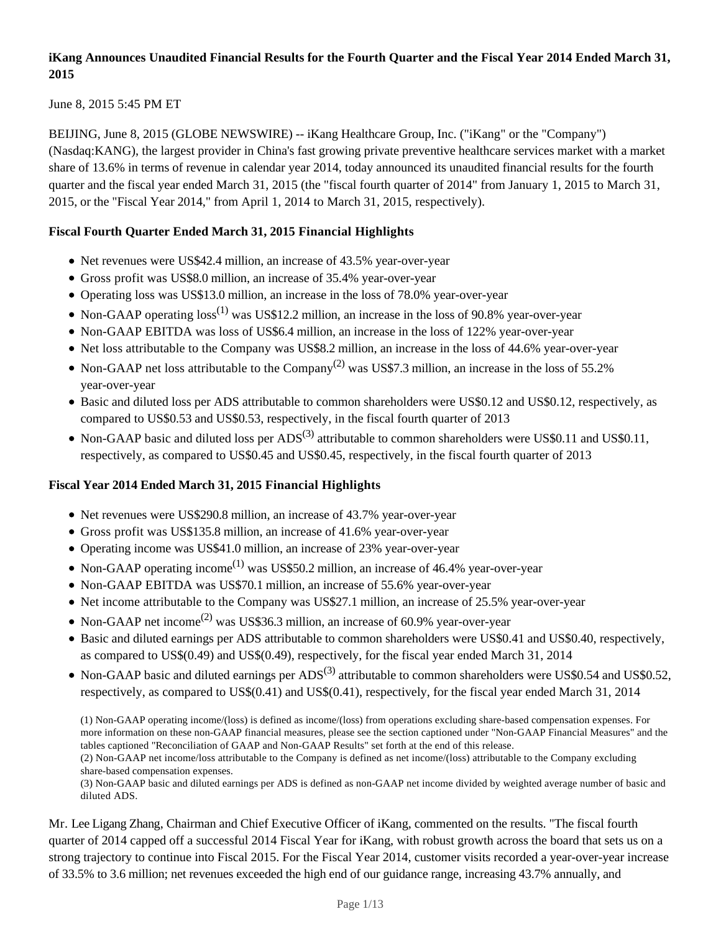## **iKang Announces Unaudited Financial Results for the Fourth Quarter and the Fiscal Year 2014 Ended March 31, 2015**

June 8, 2015 5:45 PM ET

BEIJING, June 8, 2015 (GLOBE NEWSWIRE) -- iKang Healthcare Group, Inc. ("iKang" or the "Company") (Nasdaq:KANG), the largest provider in China's fast growing private preventive healthcare services market with a market share of 13.6% in terms of revenue in calendar year 2014, today announced its unaudited financial results for the fourth quarter and the fiscal year ended March 31, 2015 (the "fiscal fourth quarter of 2014" from January 1, 2015 to March 31, 2015, or the "Fiscal Year 2014," from April 1, 2014 to March 31, 2015, respectively).

### **Fiscal Fourth Quarter Ended March 31, 2015 Financial Highlights**

- Net revenues were US\$42.4 million, an increase of 43.5% year-over-year
- Gross profit was US\$8.0 million, an increase of 35.4% year-over-year
- Operating loss was US\$13.0 million, an increase in the loss of 78.0% year-over-year
- Non-GAAP operating  $loss^{(1)}$  was US\$12.2 million, an increase in the loss of 90.8% year-over-year
- Non-GAAP EBITDA was loss of US\$6.4 million, an increase in the loss of 122% year-over-year
- Net loss attributable to the Company was US\$8.2 million, an increase in the loss of 44.6% year-over-year
- Non-GAAP net loss attributable to the Company<sup>(2)</sup> was US\$7.3 million, an increase in the loss of 55.2% year-over-year
- Basic and diluted loss per ADS attributable to common shareholders were US\$0.12 and US\$0.12, respectively, as compared to US\$0.53 and US\$0.53, respectively, in the fiscal fourth quarter of 2013
- Non-GAAP basic and diluted loss per  $ADS^{(3)}$  attributable to common shareholders were US\$0.11 and US\$0.11, respectively, as compared to US\$0.45 and US\$0.45, respectively, in the fiscal fourth quarter of 2013

#### **Fiscal Year 2014 Ended March 31, 2015 Financial Highlights**

- Net revenues were US\$290.8 million, an increase of 43.7% year-over-year
- Gross profit was US\$135.8 million, an increase of 41.6% year-over-year
- Operating income was US\$41.0 million, an increase of 23% year-over-year
- Non-GAAP operating income<sup>(1)</sup> was US\$50.2 million, an increase of 46.4% year-over-year
- Non-GAAP EBITDA was US\$70.1 million, an increase of 55.6% year-over-year
- Net income attributable to the Company was US\$27.1 million, an increase of 25.5% year-over-year
- Non-GAAP net income<sup>(2)</sup> was US\$36.3 million, an increase of 60.9% year-over-year
- Basic and diluted earnings per ADS attributable to common shareholders were US\$0.41 and US\$0.40, respectively, as compared to US\$(0.49) and US\$(0.49), respectively, for the fiscal year ended March 31, 2014
- Non-GAAP basic and diluted earnings per  $ADS^{(3)}$  attributable to common shareholders were US\$0.54 and US\$0.52, respectively, as compared to US\$(0.41) and US\$(0.41), respectively, for the fiscal year ended March 31, 2014

(1) Non-GAAP operating income/(loss) is defined as income/(loss) from operations excluding share-based compensation expenses. For more information on these non-GAAP financial measures, please see the section captioned under "Non-GAAP Financial Measures" and the tables captioned "Reconciliation of GAAP and Non-GAAP Results" set forth at the end of this release. (2) Non-GAAP net income/loss attributable to the Company is defined as net income/(loss) attributable to the Company excluding

share-based compensation expenses.

(3) Non-GAAP basic and diluted earnings per ADS is defined as non-GAAP net income divided by weighted average number of basic and diluted ADS.

Mr. Lee Ligang Zhang, Chairman and Chief Executive Officer of iKang, commented on the results. "The fiscal fourth quarter of 2014 capped off a successful 2014 Fiscal Year for iKang, with robust growth across the board that sets us on a strong trajectory to continue into Fiscal 2015. For the Fiscal Year 2014, customer visits recorded a year-over-year increase of 33.5% to 3.6 million; net revenues exceeded the high end of our guidance range, increasing 43.7% annually, and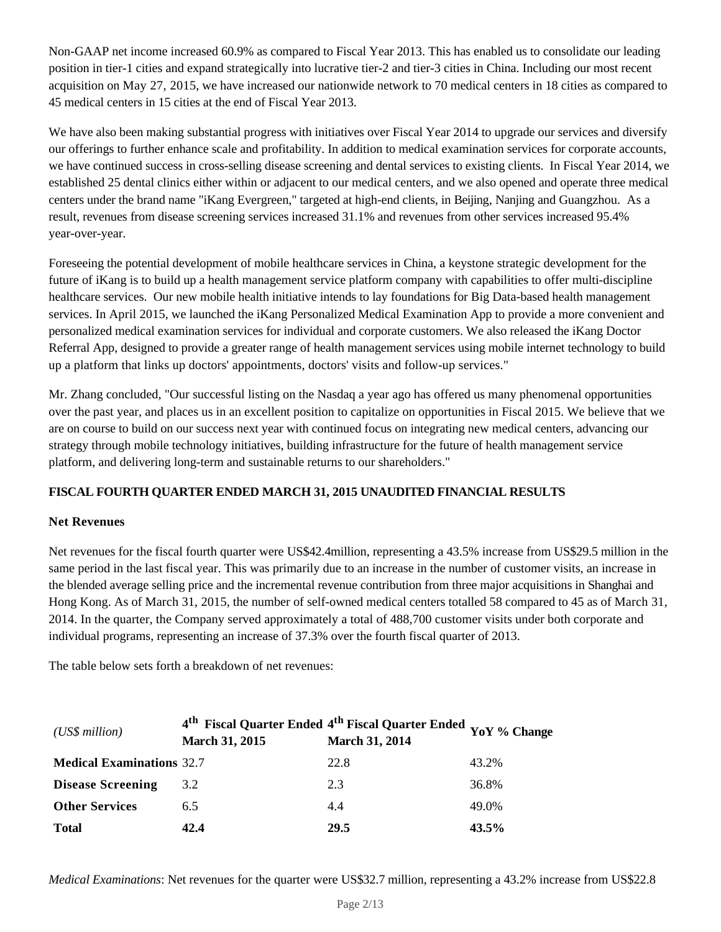Non-GAAP net income increased 60.9% as compared to Fiscal Year 2013. This has enabled us to consolidate our leading position in tier-1 cities and expand strategically into lucrative tier-2 and tier-3 cities in China. Including our most recent acquisition on May 27, 2015, we have increased our nationwide network to 70 medical centers in 18 cities as compared to 45 medical centers in 15 cities at the end of Fiscal Year 2013.

We have also been making substantial progress with initiatives over Fiscal Year 2014 to upgrade our services and diversify our offerings to further enhance scale and profitability. In addition to medical examination services for corporate accounts, we have continued success in cross-selling disease screening and dental services to existing clients. In Fiscal Year 2014, we established 25 dental clinics either within or adjacent to our medical centers, and we also opened and operate three medical centers under the brand name "iKang Evergreen," targeted at high-end clients, in Beijing, Nanjing and Guangzhou. As a result, revenues from disease screening services increased 31.1% and revenues from other services increased 95.4% year-over-year.

Foreseeing the potential development of mobile healthcare services in China, a keystone strategic development for the future of iKang is to build up a health management service platform company with capabilities to offer multi-discipline healthcare services. Our new mobile health initiative intends to lay foundations for Big Data-based health management services. In April 2015, we launched the iKang Personalized Medical Examination App to provide a more convenient and personalized medical examination services for individual and corporate customers. We also released the iKang Doctor Referral App, designed to provide a greater range of health management services using mobile internet technology to build up a platform that links up doctors' appointments, doctors' visits and follow-up services."

Mr. Zhang concluded, "Our successful listing on the Nasdaq a year ago has offered us many phenomenal opportunities over the past year, and places us in an excellent position to capitalize on opportunities in Fiscal 2015. We believe that we are on course to build on our success next year with continued focus on integrating new medical centers, advancing our strategy through mobile technology initiatives, building infrastructure for the future of health management service platform, and delivering long-term and sustainable returns to our shareholders."

## **FISCAL FOURTH QUARTER ENDED MARCH 31, 2015 UNAUDITED FINANCIAL RESULTS**

## **Net Revenues**

Net revenues for the fiscal fourth quarter were US\$42.4million, representing a 43.5% increase from US\$29.5 million in the same period in the last fiscal year. This was primarily due to an increase in the number of customer visits, an increase in the blended average selling price and the incremental revenue contribution from three major acquisitions in Shanghai and Hong Kong. As of March 31, 2015, the number of self-owned medical centers totalled 58 compared to 45 as of March 31, 2014. In the quarter, the Company served approximately a total of 488,700 customer visits under both corporate and individual programs, representing an increase of 37.3% over the fourth fiscal quarter of 2013.

The table below sets forth a breakdown of net revenues:

| $(US\$ s million                 | 4 <sup>th</sup> Fiscal Quarter Ended 4 <sup>th</sup> Fiscal Quarter Ended YoY % Change<br>March 31, 2015 | <b>March 31, 2014</b> |       |
|----------------------------------|----------------------------------------------------------------------------------------------------------|-----------------------|-------|
| <b>Medical Examinations 32.7</b> |                                                                                                          | 22.8                  | 43.2% |
| <b>Disease Screening</b>         | 3.2                                                                                                      | 2.3                   | 36.8% |
| <b>Other Services</b>            | 6.5                                                                                                      | 4.4                   | 49.0% |
| <b>Total</b>                     | 42.4                                                                                                     | 29.5                  | 43.5% |

*Medical Examinations*: Net revenues for the quarter were US\$32.7 million, representing a 43.2% increase from US\$22.8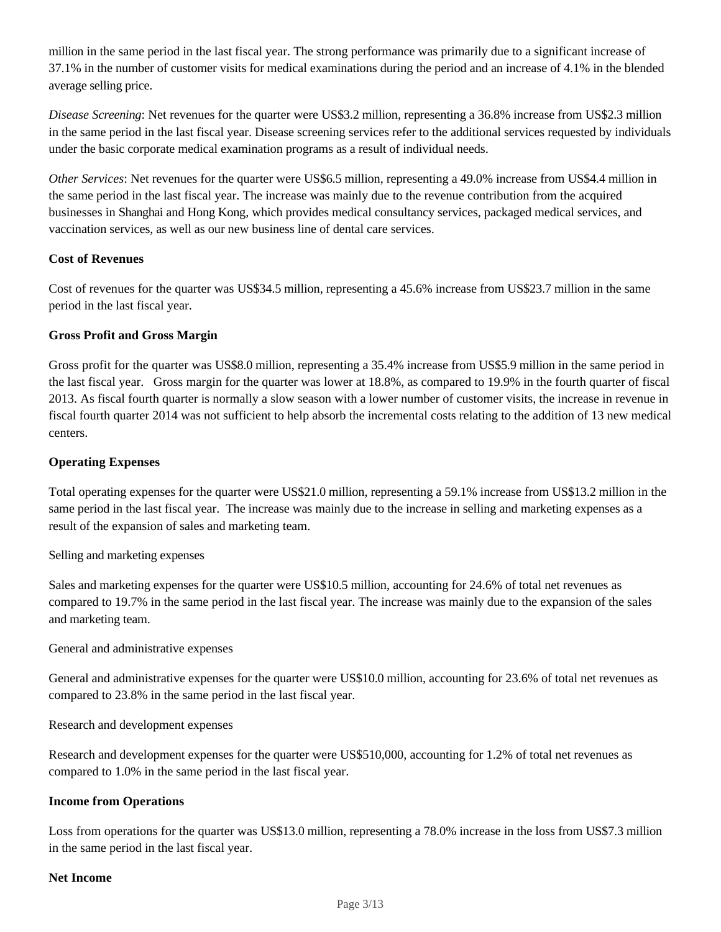million in the same period in the last fiscal year. The strong performance was primarily due to a significant increase of 37.1% in the number of customer visits for medical examinations during the period and an increase of 4.1% in the blended average selling price.

*Disease Screening*: Net revenues for the quarter were US\$3.2 million, representing a 36.8% increase from US\$2.3 million in the same period in the last fiscal year. Disease screening services refer to the additional services requested by individuals under the basic corporate medical examination programs as a result of individual needs.

*Other Services*: Net revenues for the quarter were US\$6.5 million, representing a 49.0% increase from US\$4.4 million in the same period in the last fiscal year. The increase was mainly due to the revenue contribution from the acquired businesses in Shanghai and Hong Kong, which provides medical consultancy services, packaged medical services, and vaccination services, as well as our new business line of dental care services.

#### **Cost of Revenues**

Cost of revenues for the quarter was US\$34.5 million, representing a 45.6% increase from US\$23.7 million in the same period in the last fiscal year.

#### **Gross Profit and Gross Margin**

Gross profit for the quarter was US\$8.0 million, representing a 35.4% increase from US\$5.9 million in the same period in the last fiscal year. Gross margin for the quarter was lower at 18.8%, as compared to 19.9% in the fourth quarter of fiscal 2013. As fiscal fourth quarter is normally a slow season with a lower number of customer visits, the increase in revenue in fiscal fourth quarter 2014 was not sufficient to help absorb the incremental costs relating to the addition of 13 new medical centers.

#### **Operating Expenses**

Total operating expenses for the quarter were US\$21.0 million, representing a 59.1% increase from US\$13.2 million in the same period in the last fiscal year. The increase was mainly due to the increase in selling and marketing expenses as a result of the expansion of sales and marketing team.

Selling and marketing expenses

Sales and marketing expenses for the quarter were US\$10.5 million, accounting for 24.6% of total net revenues as compared to 19.7% in the same period in the last fiscal year. The increase was mainly due to the expansion of the sales and marketing team.

General and administrative expenses

General and administrative expenses for the quarter were US\$10.0 million, accounting for 23.6% of total net revenues as compared to 23.8% in the same period in the last fiscal year.

Research and development expenses

Research and development expenses for the quarter were US\$510,000, accounting for 1.2% of total net revenues as compared to 1.0% in the same period in the last fiscal year.

#### **Income from Operations**

Loss from operations for the quarter was US\$13.0 million, representing a 78.0% increase in the loss from US\$7.3 million in the same period in the last fiscal year.

#### **Net Income**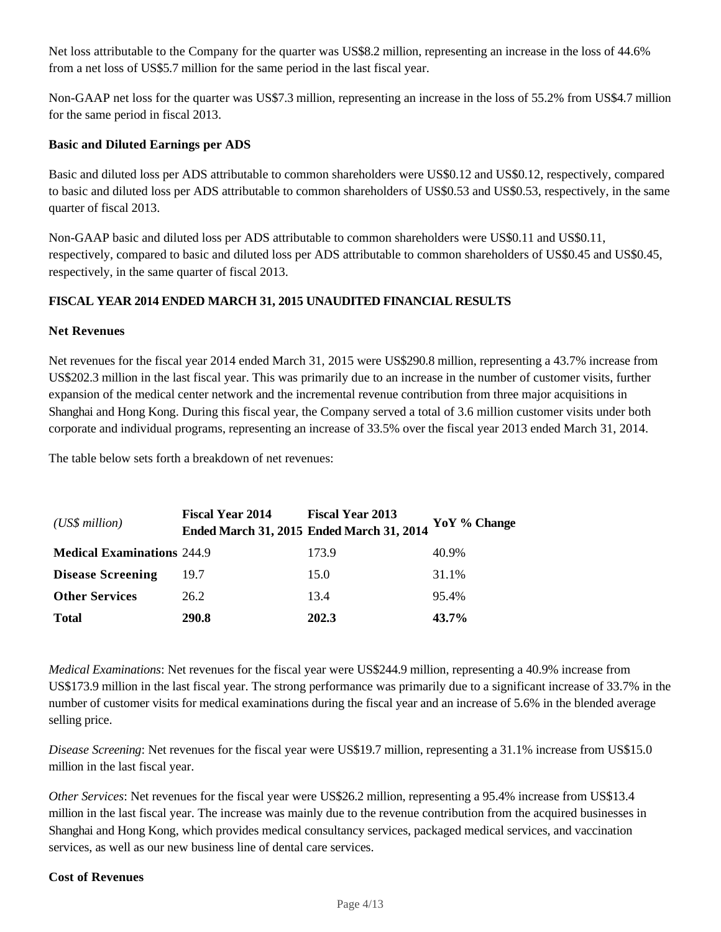Net loss attributable to the Company for the quarter was US\$8.2 million, representing an increase in the loss of 44.6% from a net loss of US\$5.7 million for the same period in the last fiscal year.

Non-GAAP net loss for the quarter was US\$7.3 million, representing an increase in the loss of 55.2% from US\$4.7 million for the same period in fiscal 2013.

#### **Basic and Diluted Earnings per ADS**

Basic and diluted loss per ADS attributable to common shareholders were US\$0.12 and US\$0.12, respectively, compared to basic and diluted loss per ADS attributable to common shareholders of US\$0.53 and US\$0.53, respectively, in the same quarter of fiscal 2013.

Non-GAAP basic and diluted loss per ADS attributable to common shareholders were US\$0.11 and US\$0.11, respectively, compared to basic and diluted loss per ADS attributable to common shareholders of US\$0.45 and US\$0.45, respectively, in the same quarter of fiscal 2013.

#### **FISCAL YEAR 2014 ENDED MARCH 31, 2015 UNAUDITED FINANCIAL RESULTS**

#### **Net Revenues**

Net revenues for the fiscal year 2014 ended March 31, 2015 were US\$290.8 million, representing a 43.7% increase from US\$202.3 million in the last fiscal year. This was primarily due to an increase in the number of customer visits, further expansion of the medical center network and the incremental revenue contribution from three major acquisitions in Shanghai and Hong Kong. During this fiscal year, the Company served a total of 3.6 million customer visits under both corporate and individual programs, representing an increase of 33.5% over the fiscal year 2013 ended March 31, 2014.

The table below sets forth a breakdown of net revenues:

| (US\$ million)                    | <b>Fiscal Year 2014</b> | <b>Fiscal Year 2013</b><br>Ended March 31, 2015 Ended March 31, 2014 | YoY % Change |
|-----------------------------------|-------------------------|----------------------------------------------------------------------|--------------|
| <b>Medical Examinations 244.9</b> |                         | 173.9                                                                | 40.9%        |
| <b>Disease Screening</b>          | 19.7                    | 15.0                                                                 | 31.1%        |
| <b>Other Services</b>             | 26.2                    | 13.4                                                                 | 95.4%        |
| <b>Total</b>                      | 290.8                   | 202.3                                                                | 43.7%        |

*Medical Examinations*: Net revenues for the fiscal year were US\$244.9 million, representing a 40.9% increase from US\$173.9 million in the last fiscal year. The strong performance was primarily due to a significant increase of 33.7% in the number of customer visits for medical examinations during the fiscal year and an increase of 5.6% in the blended average selling price.

*Disease Screening*: Net revenues for the fiscal year were US\$19.7 million, representing a 31.1% increase from US\$15.0 million in the last fiscal year.

*Other Services*: Net revenues for the fiscal year were US\$26.2 million, representing a 95.4% increase from US\$13.4 million in the last fiscal year. The increase was mainly due to the revenue contribution from the acquired businesses in Shanghai and Hong Kong, which provides medical consultancy services, packaged medical services, and vaccination services, as well as our new business line of dental care services.

#### **Cost of Revenues**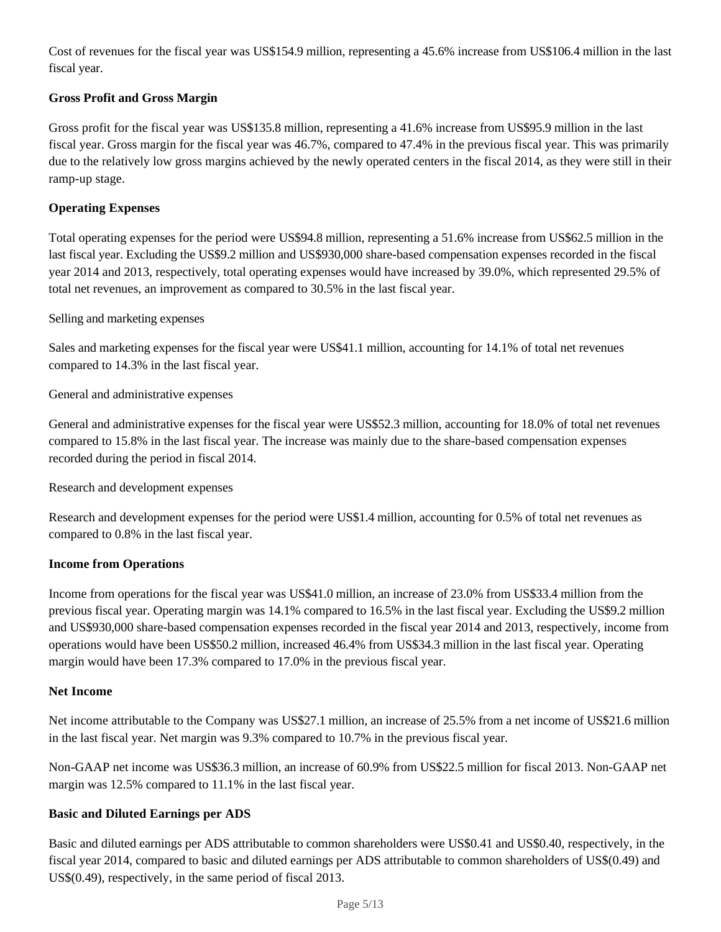Cost of revenues for the fiscal year was US\$154.9 million, representing a 45.6% increase from US\$106.4 million in the last fiscal year.

## **Gross Profit and Gross Margin**

Gross profit for the fiscal year was US\$135.8 million, representing a 41.6% increase from US\$95.9 million in the last fiscal year. Gross margin for the fiscal year was 46.7%, compared to 47.4% in the previous fiscal year. This was primarily due to the relatively low gross margins achieved by the newly operated centers in the fiscal 2014, as they were still in their ramp-up stage.

#### **Operating Expenses**

Total operating expenses for the period were US\$94.8 million, representing a 51.6% increase from US\$62.5 million in the last fiscal year. Excluding the US\$9.2 million and US\$930,000 share-based compensation expenses recorded in the fiscal year 2014 and 2013, respectively, total operating expenses would have increased by 39.0%, which represented 29.5% of total net revenues, an improvement as compared to 30.5% in the last fiscal year.

Selling and marketing expenses

Sales and marketing expenses for the fiscal year were US\$41.1 million, accounting for 14.1% of total net revenues compared to 14.3% in the last fiscal year.

General and administrative expenses

General and administrative expenses for the fiscal year were US\$52.3 million, accounting for 18.0% of total net revenues compared to 15.8% in the last fiscal year. The increase was mainly due to the share-based compensation expenses recorded during the period in fiscal 2014.

Research and development expenses

Research and development expenses for the period were US\$1.4 million, accounting for 0.5% of total net revenues as compared to 0.8% in the last fiscal year.

#### **Income from Operations**

Income from operations for the fiscal year was US\$41.0 million, an increase of 23.0% from US\$33.4 million from the previous fiscal year. Operating margin was 14.1% compared to 16.5% in the last fiscal year. Excluding the US\$9.2 million and US\$930,000 share-based compensation expenses recorded in the fiscal year 2014 and 2013, respectively, income from operations would have been US\$50.2 million, increased 46.4% from US\$34.3 million in the last fiscal year. Operating margin would have been 17.3% compared to 17.0% in the previous fiscal year.

#### **Net Income**

Net income attributable to the Company was US\$27.1 million, an increase of 25.5% from a net income of US\$21.6 million in the last fiscal year. Net margin was 9.3% compared to 10.7% in the previous fiscal year.

Non-GAAP net income was US\$36.3 million, an increase of 60.9% from US\$22.5 million for fiscal 2013. Non-GAAP net margin was 12.5% compared to 11.1% in the last fiscal year.

#### **Basic and Diluted Earnings per ADS**

Basic and diluted earnings per ADS attributable to common shareholders were US\$0.41 and US\$0.40, respectively, in the fiscal year 2014, compared to basic and diluted earnings per ADS attributable to common shareholders of US\$(0.49) and US\$(0.49), respectively, in the same period of fiscal 2013.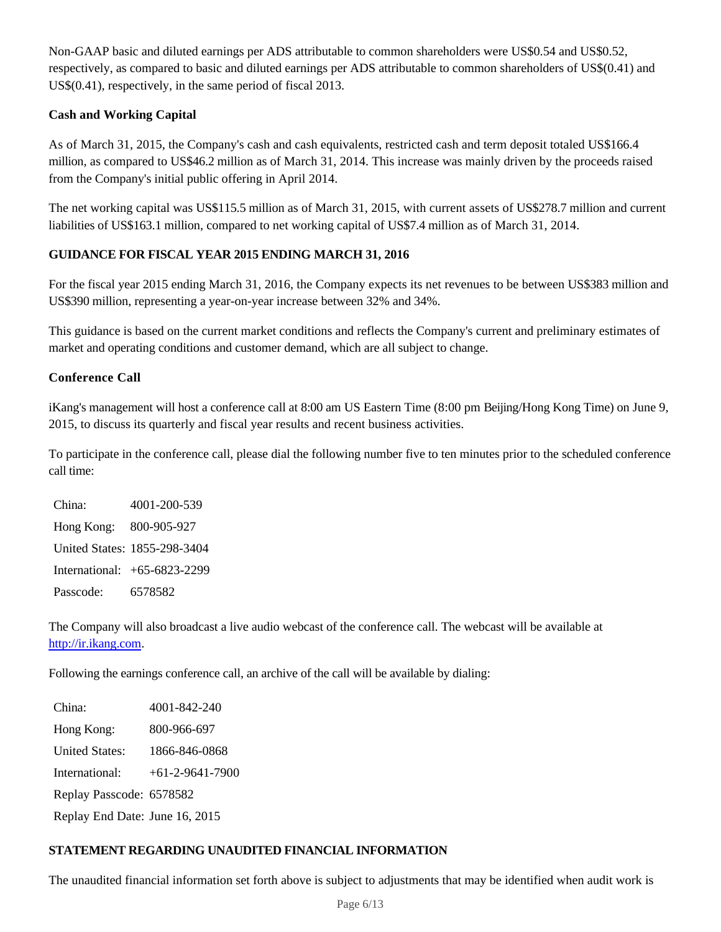Non-GAAP basic and diluted earnings per ADS attributable to common shareholders were US\$0.54 and US\$0.52, respectively, as compared to basic and diluted earnings per ADS attributable to common shareholders of US\$(0.41) and US\$(0.41), respectively, in the same period of fiscal 2013.

### **Cash and Working Capital**

As of March 31, 2015, the Company's cash and cash equivalents, restricted cash and term deposit totaled US\$166.4 million, as compared to US\$46.2 million as of March 31, 2014. This increase was mainly driven by the proceeds raised from the Company's initial public offering in April 2014.

The net working capital was US\$115.5 million as of March 31, 2015, with current assets of US\$278.7 million and current liabilities of US\$163.1 million, compared to net working capital of US\$7.4 million as of March 31, 2014.

## **GUIDANCE FOR FISCAL YEAR 2015 ENDING MARCH 31, 2016**

For the fiscal year 2015 ending March 31, 2016, the Company expects its net revenues to be between US\$383 million and US\$390 million, representing a year-on-year increase between 32% and 34%.

This guidance is based on the current market conditions and reflects the Company's current and preliminary estimates of market and operating conditions and customer demand, which are all subject to change.

#### **Conference Call**

iKang's management will host a conference call at 8:00 am US Eastern Time (8:00 pm Beijing/Hong Kong Time) on June 9, 2015, to discuss its quarterly and fiscal year results and recent business activities.

To participate in the conference call, please dial the following number five to ten minutes prior to the scheduled conference call time:

| China:     | 4001-200-539                 |
|------------|------------------------------|
| Hong Kong: | 800-905-927                  |
|            | United States: 1855-298-3404 |
|            | International: +65-6823-2299 |
| Passcode:  | 6578582                      |

The Company will also broadcast a live audio webcast of the conference call. The webcast will be available at http://ir.ikang.com.

Following the earnings conference call, an archive of the call will be available by dialing:

China: 4001-842-240 Hong Kong: 800-966-697 United States: 1866-846-0868 International: +61-2-9641-7900 Replay Passcode: 6578582 Replay End Date: June 16, 2015

## **STATEMENT REGARDING UNAUDITED FINANCIAL INFORMATION**

The unaudited financial information set forth above is subject to adjustments that may be identified when audit work is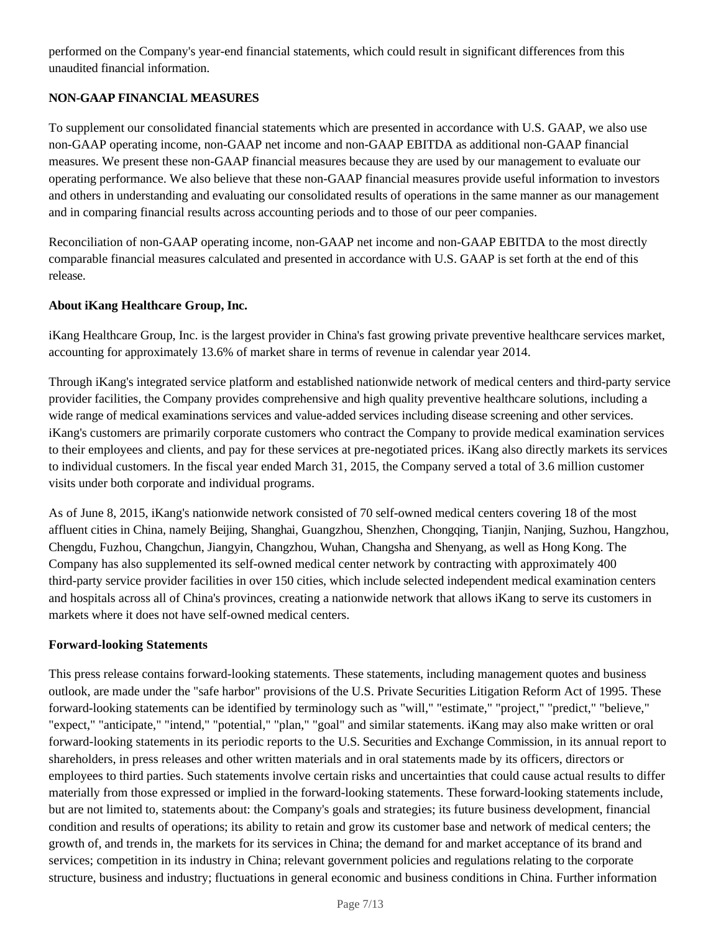performed on the Company's year-end financial statements, which could result in significant differences from this unaudited financial information.

## **NON-GAAP FINANCIAL MEASURES**

To supplement our consolidated financial statements which are presented in accordance with U.S. GAAP, we also use non-GAAP operating income, non-GAAP net income and non-GAAP EBITDA as additional non-GAAP financial measures. We present these non-GAAP financial measures because they are used by our management to evaluate our operating performance. We also believe that these non-GAAP financial measures provide useful information to investors and others in understanding and evaluating our consolidated results of operations in the same manner as our management and in comparing financial results across accounting periods and to those of our peer companies.

Reconciliation of non-GAAP operating income, non-GAAP net income and non-GAAP EBITDA to the most directly comparable financial measures calculated and presented in accordance with U.S. GAAP is set forth at the end of this release.

#### **About iKang Healthcare Group, Inc.**

iKang Healthcare Group, Inc. is the largest provider in China's fast growing private preventive healthcare services market, accounting for approximately 13.6% of market share in terms of revenue in calendar year 2014.

Through iKang's integrated service platform and established nationwide network of medical centers and third-party service provider facilities, the Company provides comprehensive and high quality preventive healthcare solutions, including a wide range of medical examinations services and value-added services including disease screening and other services. iKang's customers are primarily corporate customers who contract the Company to provide medical examination services to their employees and clients, and pay for these services at pre-negotiated prices. iKang also directly markets its services to individual customers. In the fiscal year ended March 31, 2015, the Company served a total of 3.6 million customer visits under both corporate and individual programs.

As of June 8, 2015, iKang's nationwide network consisted of 70 self-owned medical centers covering 18 of the most affluent cities in China, namely Beijing, Shanghai, Guangzhou, Shenzhen, Chongqing, Tianjin, Nanjing, Suzhou, Hangzhou, Chengdu, Fuzhou, Changchun, Jiangyin, Changzhou, Wuhan, Changsha and Shenyang, as well as Hong Kong. The Company has also supplemented its self-owned medical center network by contracting with approximately 400 third-party service provider facilities in over 150 cities, which include selected independent medical examination centers and hospitals across all of China's provinces, creating a nationwide network that allows iKang to serve its customers in markets where it does not have self-owned medical centers.

## **Forward-looking Statements**

This press release contains forward-looking statements. These statements, including management quotes and business outlook, are made under the "safe harbor" provisions of the U.S. Private Securities Litigation Reform Act of 1995. These forward-looking statements can be identified by terminology such as "will," "estimate," "project," "predict," "believe," "expect," "anticipate," "intend," "potential," "plan," "goal" and similar statements. iKang may also make written or oral forward-looking statements in its periodic reports to the U.S. Securities and Exchange Commission, in its annual report to shareholders, in press releases and other written materials and in oral statements made by its officers, directors or employees to third parties. Such statements involve certain risks and uncertainties that could cause actual results to differ materially from those expressed or implied in the forward-looking statements. These forward-looking statements include, but are not limited to, statements about: the Company's goals and strategies; its future business development, financial condition and results of operations; its ability to retain and grow its customer base and network of medical centers; the growth of, and trends in, the markets for its services in China; the demand for and market acceptance of its brand and services; competition in its industry in China; relevant government policies and regulations relating to the corporate structure, business and industry; fluctuations in general economic and business conditions in China. Further information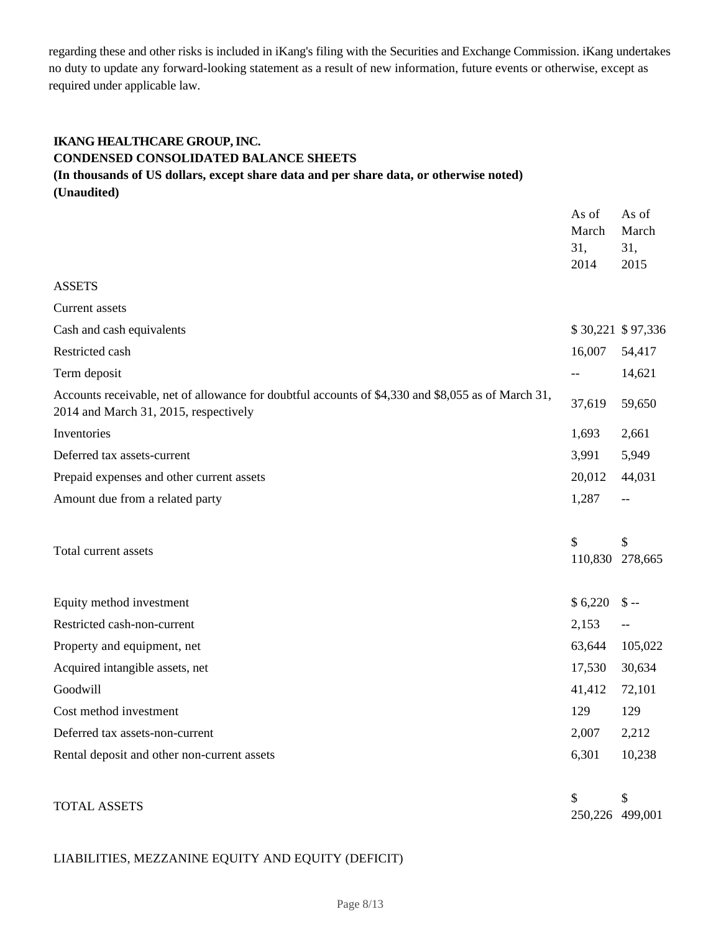regarding these and other risks is included in iKang's filing with the Securities and Exchange Commission. iKang undertakes no duty to update any forward-looking statement as a result of new information, future events or otherwise, except as required under applicable law.

## **IKANG HEALTHCARE GROUP, INC. CONDENSED CONSOLIDATED BALANCE SHEETS**

## **(In thousands of US dollars, except share data and per share data, or otherwise noted) (Unaudited)**

|                                                                                                                                             | As of<br>March        | As of<br>March    |
|---------------------------------------------------------------------------------------------------------------------------------------------|-----------------------|-------------------|
|                                                                                                                                             | 31,<br>2014           | 31,<br>2015       |
| <b>ASSETS</b>                                                                                                                               |                       |                   |
| Current assets                                                                                                                              |                       |                   |
| Cash and cash equivalents                                                                                                                   |                       | \$30,221 \$97,336 |
| Restricted cash                                                                                                                             | 16,007                | 54,417            |
| Term deposit                                                                                                                                |                       | 14,621            |
| Accounts receivable, net of allowance for doubtful accounts of \$4,330 and \$8,055 as of March 31,<br>2014 and March 31, 2015, respectively | 37,619                | 59,650            |
| Inventories                                                                                                                                 | 1,693                 | 2,661             |
| Deferred tax assets-current                                                                                                                 | 3,991                 | 5,949             |
| Prepaid expenses and other current assets                                                                                                   | 20,012                | 44,031            |
| Amount due from a related party                                                                                                             | 1,287                 | $- -$             |
| Total current assets                                                                                                                        | \$<br>110,830 278,665 | \$                |
| Equity method investment                                                                                                                    | \$6,220               | $\mathbb{S}$ --   |
| Restricted cash-non-current                                                                                                                 | 2,153                 |                   |
| Property and equipment, net                                                                                                                 | 63,644                | 105,022           |
| Acquired intangible assets, net                                                                                                             | 17,530                | 30,634            |
| Goodwill                                                                                                                                    | 41,412                | 72,101            |
| Cost method investment                                                                                                                      | 129                   | 129               |
| Deferred tax assets-non-current                                                                                                             | 2,007                 | 2,212             |
| Rental deposit and other non-current assets                                                                                                 | 6,301                 | 10,238            |
| <b>TOTAL ASSETS</b>                                                                                                                         | \$<br>250,226 499,001 | \$                |

## LIABILITIES, MEZZANINE EQUITY AND EQUITY (DEFICIT)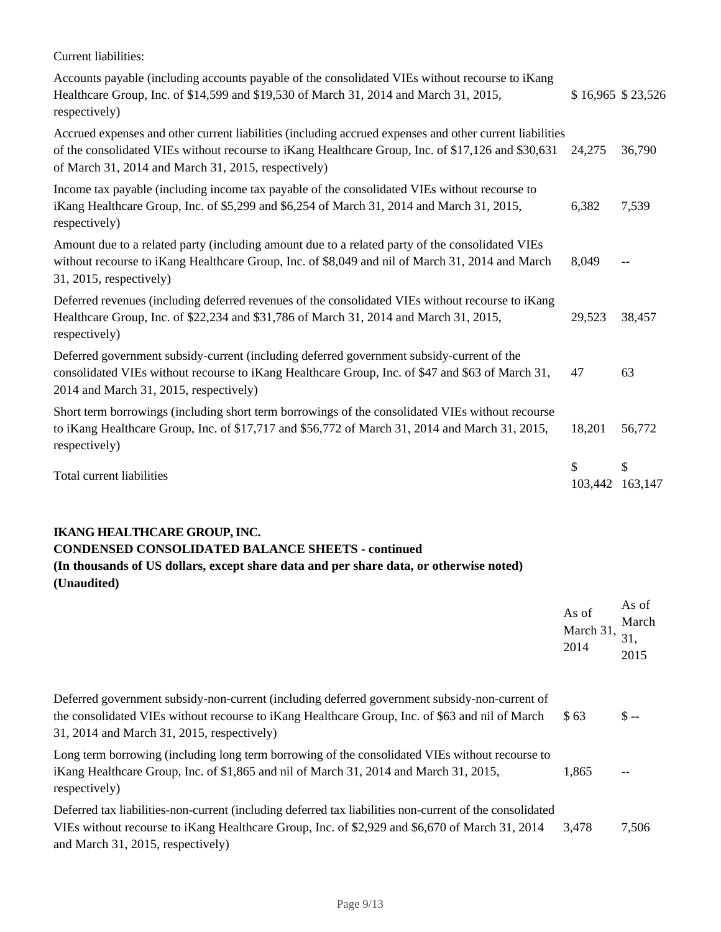Current liabilities: Accounts payable (including accounts payable of the consolidated VIEs without recourse to iKang Healthcare Group, Inc. of \$14,599 and \$19,530 of March 31, 2014 and March 31, 2015, respectively) \$ 16,965 \$ 23,526 Accrued expenses and other current liabilities (including accrued expenses and other current liabilities of the consolidated VIEs without recourse to iKang Healthcare Group, Inc. of \$17,126 and \$30,631 of March 31, 2014 and March 31, 2015, respectively) 24,275 36,790 Income tax payable (including income tax payable of the consolidated VIEs without recourse to iKang Healthcare Group, Inc. of \$5,299 and \$6,254 of March 31, 2014 and March 31, 2015, respectively) 6,382 7,539 Amount due to a related party (including amount due to a related party of the consolidated VIEs without recourse to iKang Healthcare Group, Inc. of \$8,049 and nil of March 31, 2014 and March 31, 2015, respectively) 8,049 -- Deferred revenues (including deferred revenues of the consolidated VIEs without recourse to iKang Healthcare Group, Inc. of \$22,234 and \$31,786 of March 31, 2014 and March 31, 2015, respectively) 29,523 38,457 Deferred government subsidy-current (including deferred government subsidy-current of the consolidated VIEs without recourse to iKang Healthcare Group, Inc. of \$47 and \$63 of March 31, 2014 and March 31, 2015, respectively) 47 63 Short term borrowings (including short term borrowings of the consolidated VIEs without recourse to iKang Healthcare Group, Inc. of \$17,717 and \$56,772 of March 31, 2014 and March 31, 2015, respectively) 18,201 56,772 Total current liabilities  $\sim$ 103,442 163,147 \$

#### **IKANG HEALTHCARE GROUP, INC.**

#### **CONDENSED CONSOLIDATED BALANCE SHEETS - continued**

| (In thousands of US dollars, except share data and per share data, or otherwise noted) |  |
|----------------------------------------------------------------------------------------|--|
| (Unaudited)                                                                            |  |

|                                                                                                                                                                                                                                                 | As of<br>March 31,<br>2014 | As of<br>March<br>31,<br>2015 |
|-------------------------------------------------------------------------------------------------------------------------------------------------------------------------------------------------------------------------------------------------|----------------------------|-------------------------------|
| Deferred government subsidy-non-current (including deferred government subsidy-non-current of<br>the consolidated VIEs without recourse to iKang Healthcare Group, Inc. of \$63 and nil of March<br>31, 2014 and March 31, 2015, respectively)  | \$63                       | $S -$                         |
| Long term borrowing (including long term borrowing of the consolidated VIEs without recourse to<br>iKang Healthcare Group, Inc. of \$1,865 and nil of March 31, 2014 and March 31, 2015,<br>respectively)                                       | 1,865                      |                               |
| Deferred tax liabilities-non-current (including deferred tax liabilities non-current of the consolidated<br>VIEs without recourse to iKang Healthcare Group, Inc. of \$2,929 and \$6,670 of March 31, 2014<br>and March 31, 2015, respectively) | 3,478                      | 7,506                         |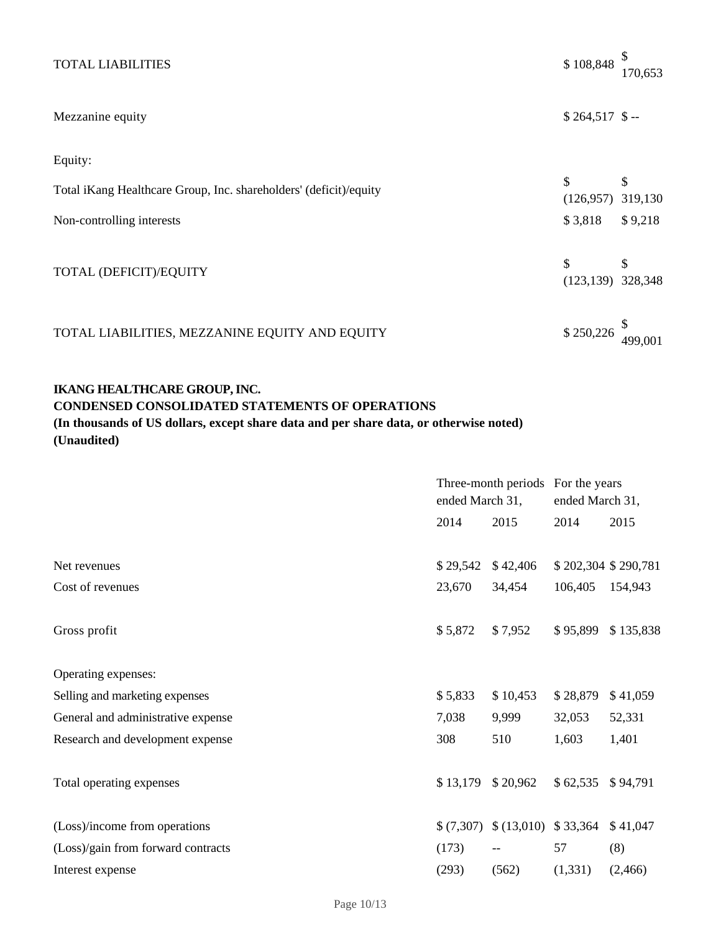| <b>TOTAL LIABILITIES</b>                                          | $$108,848 \quad $170,653$    |         |
|-------------------------------------------------------------------|------------------------------|---------|
| Mezzanine equity                                                  | $$264,517$ \$-               |         |
| Equity:                                                           |                              |         |
| Total iKang Healthcare Group, Inc. shareholders' (deficit)/equity | \$<br>$(126,957)$ 319,130    | \$      |
| Non-controlling interests                                         | \$3,818                      | \$9,218 |
| TOTAL (DEFICIT)/EQUITY                                            | \$<br>$(123, 139)$ 328,348   | \$      |
| TOTAL LIABILITIES, MEZZANINE EQUITY AND EQUITY                    | $$250,226 \frac{$}{499,001}$ |         |

## **IKANG HEALTHCARE GROUP, INC. CONDENSED CONSOLIDATED STATEMENTS OF OPERATIONS (In thousands of US dollars, except share data and per share data, or otherwise noted) (Unaudited)**

|                                    | Three-month periods For the years<br>ended March 31, |                                  | ended March 31, |                     |
|------------------------------------|------------------------------------------------------|----------------------------------|-----------------|---------------------|
|                                    | 2014                                                 | 2015                             | 2014            | 2015                |
|                                    |                                                      |                                  |                 |                     |
| Net revenues                       | \$29,542                                             | \$42,406                         |                 | \$202,304 \$290,781 |
| Cost of revenues                   | 23,670                                               | 34,454                           | 106,405         | 154,943             |
| Gross profit                       | \$5,872                                              | \$7,952                          | \$95,899        | \$135,838           |
| Operating expenses:                |                                                      |                                  |                 |                     |
| Selling and marketing expenses     | \$5,833                                              | \$10,453                         | \$28,879        | \$41,059            |
| General and administrative expense | 7,038                                                | 9,999                            | 32,053          | 52,331              |
| Research and development expense   | 308                                                  | 510                              | 1,603           | 1,401               |
| Total operating expenses           | \$13,179                                             | \$20,962                         | \$62,535        | \$94,791            |
| (Loss)/income from operations      |                                                      | $$(7,307) \$ (13,010) \$ 33,364$ |                 | \$41,047            |
| (Loss)/gain from forward contracts | (173)                                                | $\qquad \qquad -$                | 57              | (8)                 |
| Interest expense                   | (293)                                                | (562)                            | (1, 331)        | (2,466)             |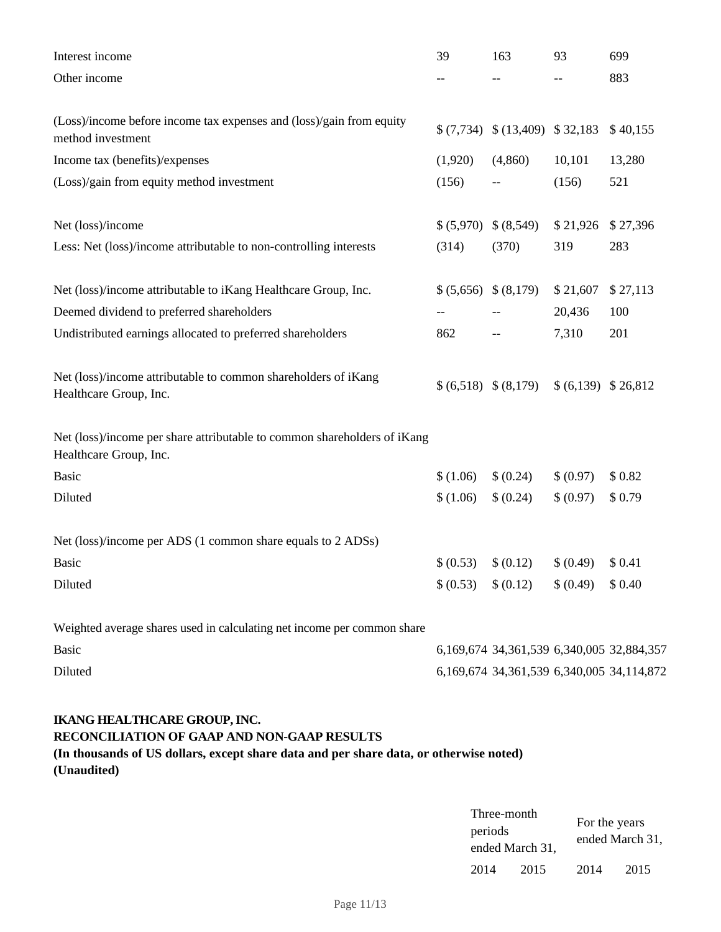| Interest income                                                                                    | 39                     | 163                                       | 93                  | 699      |
|----------------------------------------------------------------------------------------------------|------------------------|-------------------------------------------|---------------------|----------|
| Other income                                                                                       | --                     | $-$                                       | --                  | 883      |
|                                                                                                    |                        |                                           |                     |          |
| (Loss)/income before income tax expenses and (loss)/gain from equity<br>method investment          |                        | $(7,734)$ \$ $(13,409)$ \$ 32,183         |                     | \$40,155 |
| Income tax (benefits)/expenses                                                                     | (1,920)                | (4,860)                                   | 10,101              | 13,280   |
| (Loss)/gain from equity method investment                                                          | (156)                  |                                           | (156)               | 521      |
| Net (loss)/income                                                                                  | \$ (5,970)             | \$(8,549)                                 | \$21,926            | \$27,396 |
| Less: Net (loss)/income attributable to non-controlling interests                                  | (314)                  | (370)                                     | 319                 | 283      |
| Net (loss)/income attributable to iKang Healthcare Group, Inc.                                     | $$ (5,656) \$ (8,179)$ |                                           | \$21,607            | \$27,113 |
| Deemed dividend to preferred shareholders                                                          |                        |                                           | 20,436              | 100      |
| Undistributed earnings allocated to preferred shareholders                                         | 862                    | --                                        | 7,310               | 201      |
| Net (loss)/income attributable to common shareholders of iKang<br>Healthcare Group, Inc.           | $(6,518)$ $(8,179)$    |                                           | $(6,139)$ \$ 26,812 |          |
| Net (loss)/income per share attributable to common shareholders of iKang<br>Healthcare Group, Inc. |                        |                                           |                     |          |
| <b>Basic</b>                                                                                       | \$(1.06)               | \$ (0.24)                                 | \$ (0.97)           | \$0.82   |
| Diluted                                                                                            | \$(1.06)               | \$ (0.24)                                 | \$ (0.97)           | \$0.79   |
| Net (loss)/income per ADS (1 common share equals to 2 ADSs)                                        |                        |                                           |                     |          |
| <b>Basic</b>                                                                                       | \$ (0.53)              | \$ (0.12)                                 | \$ (0.49)           | \$0.41   |
| Diluted                                                                                            |                        | $(0.53)$ $(0.12)$                         | \$ (0.49)           | \$0.40   |
| Weighted average shares used in calculating net income per common share                            |                        |                                           |                     |          |
| Basic                                                                                              |                        | 6,169,674 34,361,539 6,340,005 32,884,357 |                     |          |
| Diluted                                                                                            |                        | 6,169,674 34,361,539 6,340,005 34,114,872 |                     |          |
| IKANG HEALTHCARE GROUP, INC.                                                                       |                        |                                           |                     |          |

# **RECONCILIATION OF GAAP AND NON-GAAP RESULTS**

# **(In thousands of US dollars, except share data and per share data, or otherwise noted) (Unaudited)**

| Three-month<br>periods<br>ended March 31, |      | For the years<br>ended March 31, |      |  |
|-------------------------------------------|------|----------------------------------|------|--|
| 2014                                      | 2015 | 2014                             | 2015 |  |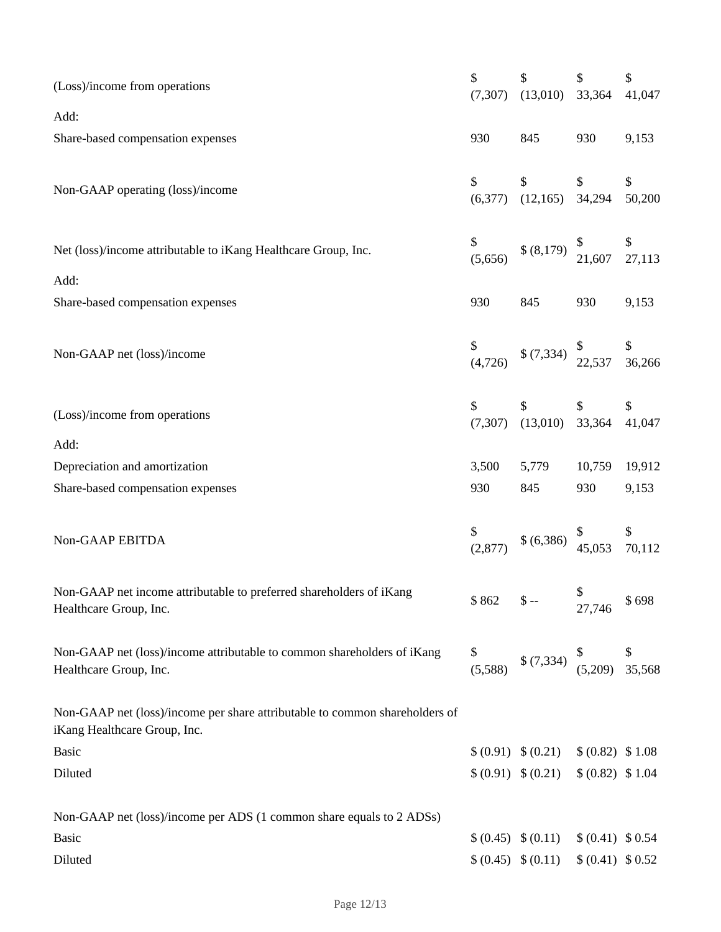| (Loss)/income from operations                                                                               | \$<br>(7, 307) | \$<br>$(13,010)$ 33,364                                        | \$                  | \$<br>41,047 |
|-------------------------------------------------------------------------------------------------------------|----------------|----------------------------------------------------------------|---------------------|--------------|
| Add:                                                                                                        |                |                                                                |                     |              |
| Share-based compensation expenses                                                                           | 930            | 845                                                            | 930                 | 9,153        |
| Non-GAAP operating (loss)/income                                                                            | \$<br>(6,377)  | \$<br>(12, 165)                                                | \$<br>34,294        | \$<br>50,200 |
| Net (loss)/income attributable to iKang Healthcare Group, Inc.                                              | \$<br>(5,656)  | $$ (8,179) \begin{array}{c} $ \text{\$} \\ 21,607 \end{array}$ |                     | \$<br>27,113 |
| Add:                                                                                                        |                |                                                                |                     |              |
| Share-based compensation expenses                                                                           | 930            | 845                                                            | 930                 | 9,153        |
| Non-GAAP net (loss)/income                                                                                  | (4, 726)       | $$^{5}$ (7,334) $$^{5}$ $$^{5}$<br>22,537 36,266               |                     |              |
| (Loss)/income from operations                                                                               | S<br>(7,307)   | <sup>\$</sup><br>$(13,010)$ 33,364                             | S.                  | \$<br>41,047 |
| Add:                                                                                                        |                |                                                                |                     |              |
| Depreciation and amortization                                                                               | 3,500          | 5,779                                                          | 10,759              | 19,912       |
| Share-based compensation expenses                                                                           | 930            | 845                                                            | 930                 | 9,153        |
| Non-GAAP EBITDA                                                                                             | (2, 877)       | \$(6,386)                                                      | 45,053              | \$<br>70,112 |
| Non-GAAP net income attributable to preferred shareholders of iKang<br>Healthcare Group, Inc.               | $$862$ \$ --   |                                                                | \$<br>27,746        | \$698        |
| Non-GAAP net (loss)/income attributable to common shareholders of iKang<br>Healthcare Group, Inc.           |                | \$<br>$(5,588)$ \$ $(7,334)$ \$<br>$(5,209)$ 35,568            |                     |              |
| Non-GAAP net (loss)/income per share attributable to common shareholders of<br>iKang Healthcare Group, Inc. |                |                                                                |                     |              |
| <b>Basic</b>                                                                                                |                | $(0.91)$ $(0.21)$ $(0.82)$ $(1.08)$                            |                     |              |
| Diluted                                                                                                     |                | $$(0.91) \$(0.21) \$(0.82) \$(1.04)$                           |                     |              |
| Non-GAAP net (loss)/income per ADS (1 common share equals to 2 ADSs)                                        |                |                                                                |                     |              |
| <b>Basic</b>                                                                                                |                | $(0.45)$ $(0.11)$                                              | \$ (0.41) \$ 0.54   |              |
| Diluted                                                                                                     |                | $(0.45)$ $(0.11)$                                              | \$ (0.41) \$ 0.52\$ |              |